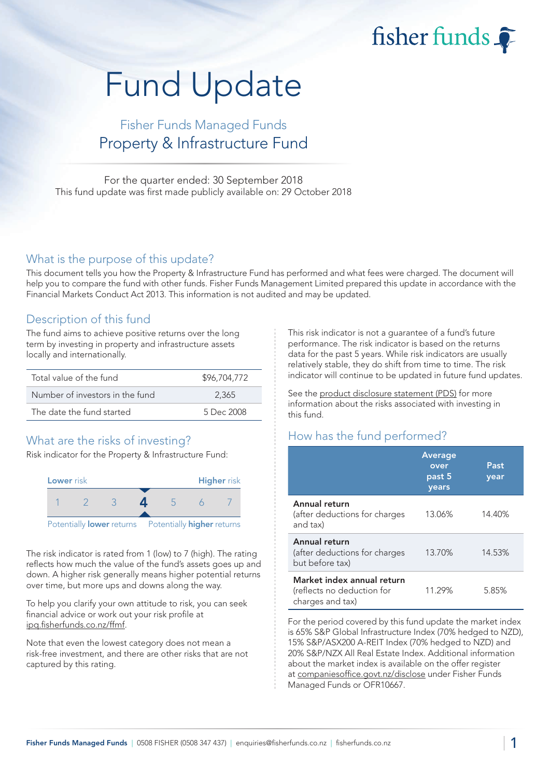fisher funds

# Fund Update

## Fisher Funds Managed Funds Property & Infrastructure Fund

For the quarter ended: 30 September 2018 This fund update was first made publicly available on: 29 October 2018

#### What is the purpose of this update?

This document tells you how the Property & Infrastructure Fund has performed and what fees were charged. The document will help you to compare the fund with other funds. Fisher Funds Management Limited prepared this update in accordance with the Financial Markets Conduct Act 2013. This information is not audited and may be updated.

## Description of this fund

The fund aims to achieve positive returns over the long term by investing in property and infrastructure assets locally and internationally.

| Total value of the fund         | \$96,704,772 |
|---------------------------------|--------------|
| Number of investors in the fund | 2.365        |
| The date the fund started       | 5 Dec 2008   |

## What are the risks of investing?

Risk indicator for the Property & Infrastructure Fund:



The risk indicator is rated from 1 (low) to 7 (high). The rating reflects how much the value of the fund's assets goes up and down. A higher risk generally means higher potential returns over time, but more ups and downs along the way.

To help you clarify your own attitude to risk, you can seek financial advice or work out your risk profile at [ipq.fisherfunds.co.nz/ffmf.](https://ipq.fisherfunds.co.nz/ffmf)

Note that even the lowest category does not mean a risk-free investment, and there are other risks that are not captured by this rating.

This risk indicator is not a guarantee of a fund's future performance. The risk indicator is based on the returns data for the past 5 years. While risk indicators are usually relatively stable, they do shift from time to time. The risk indicator will continue to be updated in future fund updates.

See the [product disclosure statement \(PDS\)](https://fisherfunds.co.nz/assets/PDS/Fisher-Funds-Managed-Funds-PDS.pdf) for more information about the risks associated with investing in this fund.

## How has the fund performed?

|                                                                              | <b>Average</b><br>over<br>past 5<br>years | Past<br>year |
|------------------------------------------------------------------------------|-------------------------------------------|--------------|
| Annual return<br>(after deductions for charges<br>and tax)                   | 13.06%                                    | 14.40%       |
| Annual return<br>(after deductions for charges<br>but before tax)            | 13.70%                                    | 14.53%       |
| Market index annual return<br>(reflects no deduction for<br>charges and tax) | 11.29%                                    | 5.85%        |

For the period covered by this fund update the market index is 65% S&P Global Infrastructure Index (70% hedged to NZD), 15% S&P/ASX200 A-REIT Index (70% hedged to NZD) and 20% S&P/NZX All Real Estate Index. Additional information about the market index is available on the offer register at [companiesoffice.govt.nz/disclose](http://companiesoffice.govt.nz/disclose) under Fisher Funds Managed Funds or OFR10667.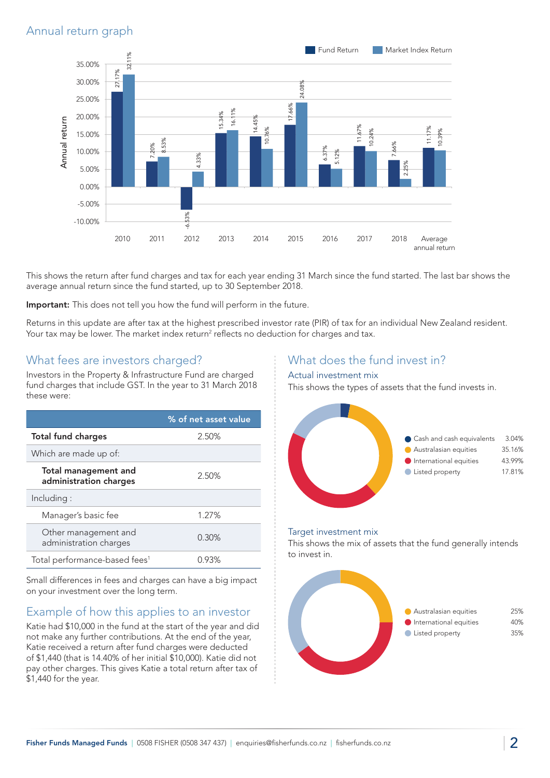## Annual return graph



This shows the return after fund charges and tax for each year ending 31 March since the fund started. The last bar shows the average annual return since the fund started, up to 30 September 2018.

Important: This does not tell you how the fund will perform in the future.

Returns in this update are after tax at the highest prescribed investor rate (PIR) of tax for an individual New Zealand resident. Your tax may be lower. The market index return<sup>2</sup> reflects no deduction for charges and tax.

## What fees are investors charged?

Investors in the Property & Infrastructure Fund are charged fund charges that include GST. In the year to 31 March 2018 these were:

|                                                | % of net asset value |
|------------------------------------------------|----------------------|
| <b>Total fund charges</b>                      | 2.50%                |
| Which are made up of:                          |                      |
| Total management and<br>administration charges | 2.50%                |
| Including:                                     |                      |
| Manager's basic fee                            | 1.27%                |
| Other management and<br>administration charges | $0.30\%$             |
| Total performance-based fees <sup>1</sup>      | 0.93%                |

Small differences in fees and charges can have a big impact on your investment over the long term.

## Example of how this applies to an investor

Katie had \$10,000 in the fund at the start of the year and did not make any further contributions. At the end of the year, Katie received a return after fund charges were deducted of \$1,440 (that is 14.40% of her initial \$10,000). Katie did not pay other charges. This gives Katie a total return after tax of \$1,440 for the year.

## What does the fund invest in?

#### Actual investment mix

This shows the types of assets that the fund invests in.



#### Target investment mix

This shows the mix of assets that the fund generally intends to invest in.